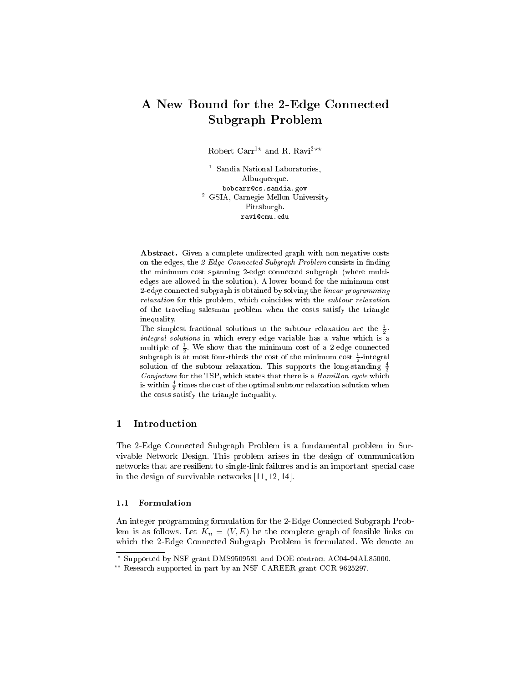# A New Bound for the 2-Edge Connected Subgraph Problem

Robert Carr<sup>1\*</sup> and R. Ravi<sup>2\*\*</sup>

<sup>1</sup> Sandia National Laboratories, Albuquerque. bobcarr@cs.sandia.gov <sup>-</sup> GSIA, Carnegie Mellon University Pittsburgh. ravi@cmu.edu

Abstract. Given a complete undirected graph with non-negative costs on the edges, the 2-Edge Connected Subgraph Problem consists in finding the minimum cost spanning 2-edge connected subgraph (where multiedges are allowed in the solution). A lower bound for the minimum cost 2-edge connected subgraph is obtained by solving the linear programming relaxation for this problem, which coincides with the subtour relaxation of the traveling salesman problem when the costs satisfy the triangle inequality.

The simplest fractional solutions to the subtour relaxation are the  $\frac{1}{5}$ integral solutions in which every edge variable has a value which is a multiple of <sup>1</sup> . We show that the minimum cost of a 2-edge connected subgraph is at most four-thirds the cost of the minimum cost  $\frac{1}{2}$ -integral solution of the subtour relaxation. This supports the long-standing  $\frac{4}{5}$ Conjecture for the TSP, which states that there is a *Hamilton cycle* which is within  $\frac{1}{2}$  times the cost of the optimal subtour relaxation solution when the costs satisfy the triangle inequality.

#### Introduction  $\mathbf{1}$

The 2-Edge Connected Subgraph Problem is a fundamental problem in Survivable Network Design. This problem arises in the design of communication networks that are resilient to single-link failures and is an important special case in the design of survivable networks [11, 12, 14].

### 1.1 Formulation

An integer programming formulation for the 2-Edge Connected Subgraph Problem is as follows. Let  $K_n = (V, E)$  be the complete graph of feasible links on which the 2-Edge Connected Subgraph Problem is formulated. We denote an

<sup>?</sup> Supported by NSF grant DMS9509581 and DOE contract AC04-94AL85000.

<sup>??</sup> Research supported in part by an NSF CAREER grant CCR-9625297.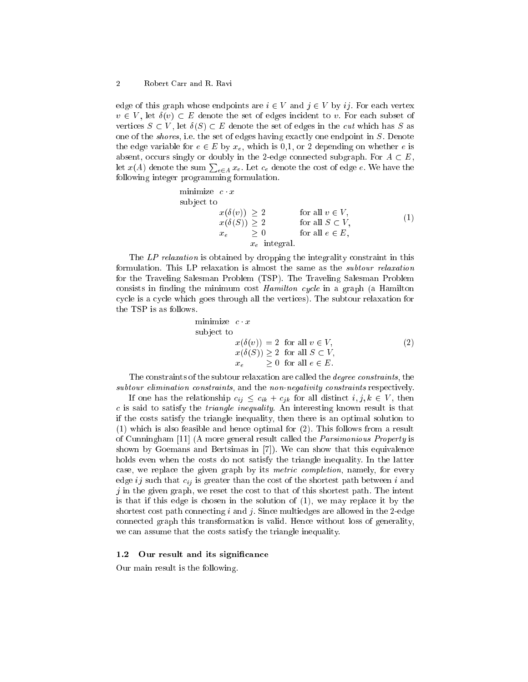edge of this graph whose endpoints are  $i \in V$  and  $j \in V$  by ij. For each vertex  $v \in V$ , let  $\delta(v) \subset E$  denote the set of edges incident to v. For each subset of vertices  $S \subset V$ , let  $\delta(S) \subset E$  denote the set of edges in the *cut* which has S as one of the shores, i.e. the set of edges having exactly one endpoint in S. Denote the edge variable for  $e \in E$  by  $x_e$ , which is 0,1, or 2 depending on whether e is absent, occurs singly or doubly in the 2-edge connected subgraph. For  $A \subset E$ , let  $x(A)$  denote the sum  $\sum_{e \in A} x_e$ . Let  $c_e$  denote the cost of edge  $e$ . We have the following integer programming formulation.

minimize 
$$
c \cdot x
$$
  
\nsubject to  
\n $x(\delta(v)) \ge 2$  for all  $v \in V$ ,  
\n $x(\delta(S)) \ge 2$  for all  $S \subset V$ ,  
\n $x_e \ge 0$  for all  $e \in E$ ,  
\n $x_e$  integral. (1)

The LP relaxation is obtained by dropping the integrality constraint in this formulation. This LP relaxation is almost the same as the subtour relaxation for the Traveling Salesman Problem (TSP). The Traveling Salesman Problem consists in finding the minimum cost  $Hamilton cycle$  in a graph (a Hamilton cycle is a cycle which goes through all the vertices). The subtour relaxation for the TSP is as follows.

minimize 
$$
c \cdot x
$$
  
\nsubject to  
\n $x(\delta(v)) = 2$  for all  $v \in V$ ,  
\n $x(\delta(S)) \ge 2$  for all  $S \subset V$ ,  
\n $x_e \ge 0$  for all  $e \in E$ .

The constraints of the subtour relaxation are called the degree constraints, the subtour elimination constraints, and the non-negativity constraints respectively.

If one has the relationship  $c_{ij} \leq c_{ik} + c_{jk}$  for all distinct  $i, j, k \in V$ , then  $c$  is said to satisfy the *triangle inequality*. An interesting known result is that if the costs satisfy the triangle inequality, then there is an optimal solution to (1) which is also feasible and hence optimal for (2). This follows from a result of Cunningham [11] (A more general result called the Parsimonious Property is shown by Goemans and Bertsimas in [7]). We can show that this equivalence holds even when the costs do not satisfy the triangle inequality. In the latter case, we replace the given graph by its metric completion, namely, for every edge ij such that  $c_{ij}$  is greater than the cost of the shortest path between i and j in the given graph, we reset the cost to that of this shortest path. The intent is that if this edge is chosen in the solution of (1), we may replace it by the shortest cost path connecting  $i$  and  $j$ . Since multiedges are allowed in the 2-edge connected graph this transformation is valid. Hence without loss of generality, we can assume that the costs satisfy the triangle inequality.

## 1.2 Our result and its significance

Our main result is the following.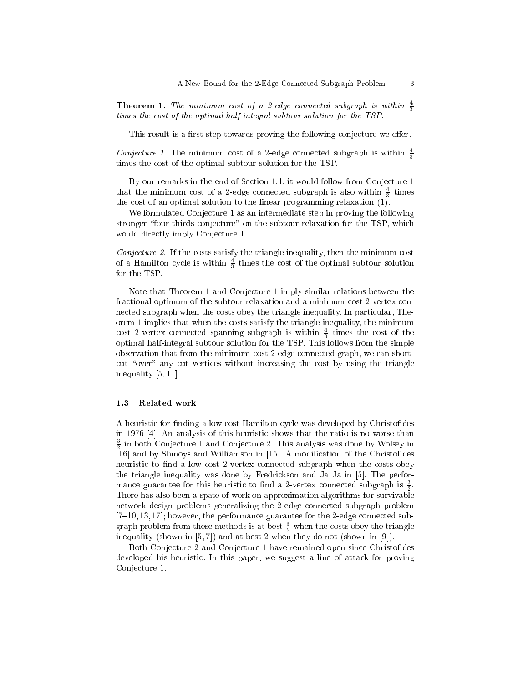**Theorem 1.** The minimum cost of a 2-edge connected subgraph is within  $\frac{4}{3}$ times the cost of the optimal half-integral subtour solution for the TSP.

This result is a first step towards proving the following conjecture we offer.

*Conjecture 1.* The minimum cost of a 2-edge connected subgraph is within  $\frac{4}{5}$ times the cost of the optimal subtour solution for the TSP.

By our remarks in the end of Section 1.1, it would follow from Conjecture 1 that the minimum cost of a 2-edge connected subgraph is also within  $\frac{1}{2}$  times the cost of an optimal solution to the linear programming relaxation (1).

We formulated Conjecture 1 as an intermediate step in proving the following stronger "four-thirds conjecture" on the subtour relaxation for the TSP, which would directly imply Conjecture 1.

Conjecture 2. If the costs satisfy the triangle inequality, then the minimum cost of a Hamilton cycle is within  $\frac{1}{2}$  times the cost of the optimal subtour solution for the TSP.

Note that Theorem 1 and Conjecture 1 imply similar relations between the fractional optimum of the subtour relaxation and a minimum-cost 2-vertex connected subgraph when the costs obey the triangle inequality. In particular, Theorem 1 implies that when the costs satisfy the triangle inequality, the minimum cost z-vertex connected spanning subgraph is within  $\frac{1}{2}$  times the cost of the optimal half-integral subtour solution for the TSP. This follows from the simple observation that from the minimum-cost 2-edge connected graph, we can shortcut "over" any cut vertices without increasing the cost by using the triangle inequality [5, 11].

### 1.3 Related work

A heuristic for finding a low cost Hamilton cycle was developed by Christofides in 1976 [4]. An analysis of this heuristic shows that the ratio is no worse than  $\frac{1}{2}$  in both Conjecture 1 and Conjecture 2. This analysis was done by Wolsey in  $\mathbf{1}_{\mathbf{1}_{\mathbf{1}}}$  and  $\mathbf{1}_{\mathbf{1}_{\mathbf{1}}}$  and  $\mathbf{1}_{\mathbf{1}_{\mathbf{1}}}$  and  $\mathbf{1}_{\mathbf{1}_{\mathbf{1}}}$  and  $\mathbf{1}_{\mathbf{1}_{\mathbf{1}}}$  and  $\mathbf{1}_{\mathbf{1}_{\mathbf{1}}}$  and  $\mathbf{1}_{\mathbf{1}_{\mathbf{1}}}$  and  $\mathbf{1}_{\mathbf{1}_{\mathbf{1}}}$  and  $\mathbf{1}_{\mathbf{1}_{\mathbf{1}}}$  heuristic to find a low cost 2-vertex connected subgraph when the costs obey the triangle inequality was done by Fredrickson and Ja Ja in [5]. The performance guarantee for this heuristic to find a 2-vertex connected subgraph is  $\frac{1}{2}$ . There has also been a spate of work on approximation algorithms for survivable network design problems generalizing the 2-edge connected subgraph problem  $[7-10, 13, 17]$ ; however, the performance guarantee for the 2-edge connected subgraph problem from these methods is at best  $\frac{1}{2}$  when the costs obey the triangle inequality (shown in [5, 7]) and at best 2 when they do not (shown in [9]).

Both Conjecture 2 and Conjecture 1 have remained open since Christodes developed his heuristic. In this paper, we suggest a line of attack for proving Conjecture 1.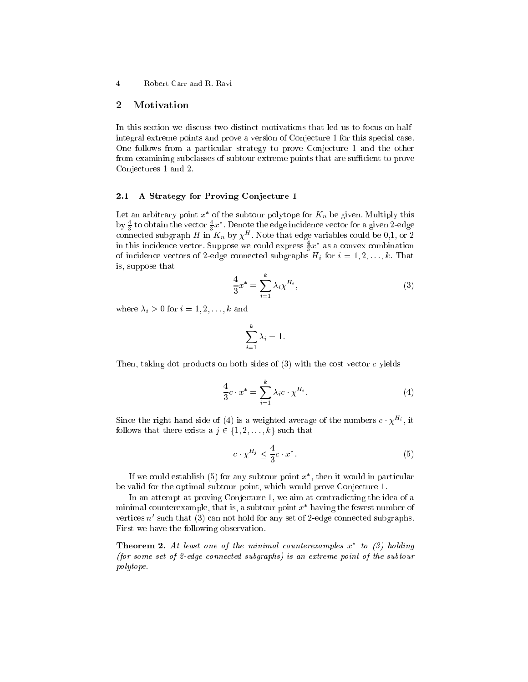4 Robert Carr and R. Ravi

#### 2Motivation

In this section we discuss two distinct motivations that led us to focus on halfintegral extreme points and prove a version of Conjecture 1 for this special case. One follows from a particular strategy to prove Conjecture 1 and the other from examining subclasses of subtour extreme points that are sufficient to prove Conjectures 1 and 2.

### 2.1 A Strategy for Proving Conjecture 1

Let an arbitrary point  $x^*$  of the subtour polytope for  $K_n$  be given. Multiply this by  $\frac{1}{3}$  to obtain the vector  $\frac{1}{3}x$  . Denote the edge incidence vector for a given 2-edge connected subgraph H in  $K_n$  by  $\chi^H$ . Note that edge variables could be 0,1, or 2 in this incluence vector. Suppose we could express  $\frac{1}{3}x$  as a convex combination of incidence vectors of 2-edge connected subgraphs  $H_i$  for  $i = 1, 2, \ldots, k$ . That is, suppose that

$$
\frac{4}{3}x^* = \sum_{i=1}^k \lambda_i \chi^{H_i},\tag{3}
$$

where  $\lambda_i \geq 0$  for  $i = 1, 2, \ldots, k$  and

$$
\sum_{i=1}^{k} \lambda_i = 1.
$$

Then, taking dot products on both sides of  $(3)$  with the cost vector c yields

$$
\frac{4}{3}c \cdot x^* = \sum_{i=1}^k \lambda_i c \cdot \chi^{H_i}.
$$
 (4)

Since the right hand side of (4) is a weighted average of the numbers  $c \cdot \chi^{H_i}$ , it follows that there exists a  $j \in \{1, 2, \ldots, k\}$  such that

$$
c \cdot \chi^{H_j} \le \frac{4}{3}c \cdot x^*.
$$
 (5)

If we could establish (5) for any subtour point  $x^{\scriptscriptstyle +}$ , then it would in particular be valid for the optimal subtour point, which would prove Conjecture 1.

In an attempt at proving Conjecture 1, we aim at contradicting the idea of a minimal counterexample, that is, a subtour point  $x$  -having the fewest number of vertices  $n^{\prime}$  such that (3) can not hold for any set of 2-edge connected subgraphs. First we have the following observation.

**Theorem 2.** At least one of the minimal counterexamples x to (3) holding (for some set of 2-edge connected subgraphs) is an extreme point of the subtour polytope.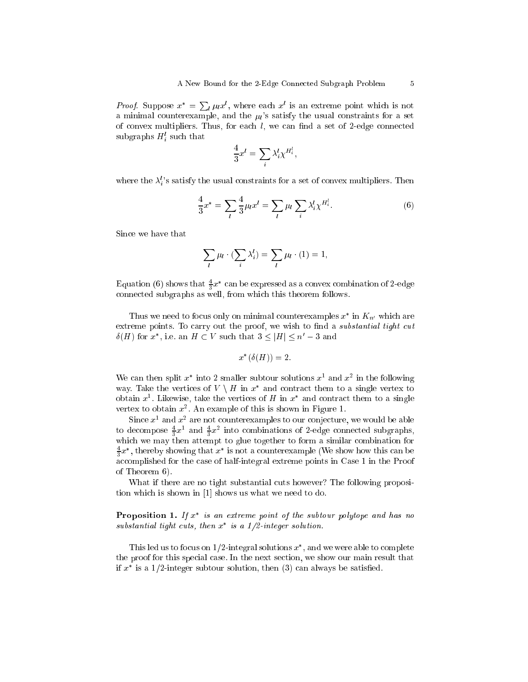*Proof.* Suppose  $x^* = \sum_l \mu_l x^l$ , where each  $x^l$  is an extreme point which is not a minimal counterexample, and the  $\mu_i$ 's satisfy the usual constraints for a set of convex multipliers. Thus, for each  $l$ , we can find a set of 2-edge connected  $\mathrm{subgraphs}\ H_i^l\ \mathrm{such}\ \mathrm{that}$ 

$$
\frac{4}{3}x^l=\sum_i\lambda_i^l\chi^{H_i^l},
$$

where the  $\lambda_i^l$ 's satisfy the usual constraints for a set of convex multipliers. Then

$$
\frac{4}{3}x^* = \sum_{l} \frac{4}{3}\mu_l x^l = \sum_{l} \mu_l \sum_{i} \lambda_i^l \chi^{H_i^l}.
$$
 (6)

Since we have that

$$
\sum_{l} \mu_l \cdot (\sum_i \lambda_i^l) = \sum_{l} \mu_l \cdot (1) = 1,
$$

Equation (6) shows that  $\frac{4}{3}x^{\frac{1}{3}}$  can be expressed as a convex combination of 2-edge connected subgraphs as well, from which this theorem follows.

Thus we need to focus only on minimal counterexamples  $x^*$  in  $K_{n'}$  which are extreme points. To carry out the proof, we wish to find a substantial tight cut  $\delta(H)$  for x<sup>\*</sup>, i.e. an  $H \subset V$  such that  $3 \leq |H| \leq n'-3$  and

$$
x^*(\delta(H)) = 2.
$$

We can then split x  $\alpha$  into 2 smaller subtour solutions  $x^1$  and  $x^2$  in the following way. Take the vertices of  $V \setminus H$  in  $x^*$  and contract them to a single vertex to obtain  $x^1$ . Likewise, take the vertices of H in  $x^*$  and contract them to a single vertex to obtain  $x^2$ . An example of this is shown in Figure 1.

Since  $x^\centerdot$  and  $x^\centerdot$  are not counterexamples to our conjecture, we would be able to decompose  $\frac{1}{3}x^2$  and  $\frac{1}{3}x^2$  into combinations of 2-edge connected subgraphs, which we may then attempt to glue together to form a similar combination for  $\frac{1}{3}x$  , thereby showing that  $x$  is not a counterexample (We show how this can be accomplished for the case of half-integral extreme points in Case 1 in the Proof of Theorem 6).

What if there are no tight substantial cuts however? The following proposition which is shown in [1] shows us what we need to do.

**Proposition 1.** If  $x^*$  is an extreme point of the subtour polytope and has no substantial tight cuts, then x is a 1/2-integer solution.

I his led us to focus on  $1/2$ -integral solutions  $x$  , and we were able to complete the proof for this special case. In the next section, we show our main result that if  $x$  is a 1/2-integer subtour solution, then (3) can always be satisfied.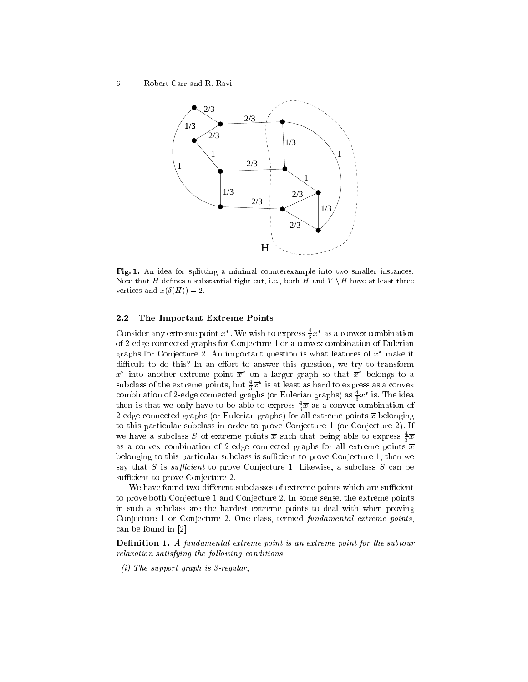6 Robert Carr and R. Ravi



Fig. 1. An idea for splitting a minimal counterexample into two smaller instances. Note that H defines a substantial tight cut, i.e., both H and  $V \setminus H$  have at least three vertices and  $x(\delta(H)) = 2$ .

#### 2.2 The Important Extreme Points

Consider any extreme point x. We wish to express  $\frac{1}{3}x^{\frac{1}{3}}$  as a convex combination of 2-edge connected graphs for Conjecture 1 or a convex combination of Eulerian graphs for Conjecture 2. An important question is what features of  $x^*$  make it difficult to do this? In an effort to answer this question, we try to transform  $x$  into another extreme point  $x$  on a larger graph so that  $x$  belongs to a subclass of the extreme points, but  $\frac{1}{3}x^{\frac{1}{3}}$  is at least as hard to express as a convex combination of 2-edge connected graphs (or Eulerian graphs) as  $\frac{1}{3}x^{\frac{1}{3}}$  is. I he idea then is that we only have to be able to express  $\frac{1}{3}x$  as a convex combination of 2-edge connected graphs (or Eulerian graphs) for all extreme points  $\bar{x}$  belonging to this particular subclass in order to prove Conjecture 1 (or Conjecture 2). If we have a subclass S of extreme points  $\overline{x}$  such that being able to express  $\frac{4}{3}\overline{x}$ as a convex combination of 2-edge connected graphs for all extreme points  $\overline{x}$ belonging to this particular subclass is sufficient to prove Conjecture 1, then we say that S is sufficient to prove Conjecture 1. Likewise, a subclass  $S$  can be sufficient to prove Conjecture 2.

We have found two different subclasses of extreme points which are sufficient to prove both Conjecture 1 and Conjecture 2. In some sense, the extreme points in such a subclass are the hardest extreme points to deal with when proving Conjecture 1 or Conjecture 2. One class, termed fundamental extreme points, can be found in [2].

**Definition 1.** A fundamental extreme point is an extreme point for the subtour relaxation satisfying the following conditions.

(i) The support graph is 3-regular,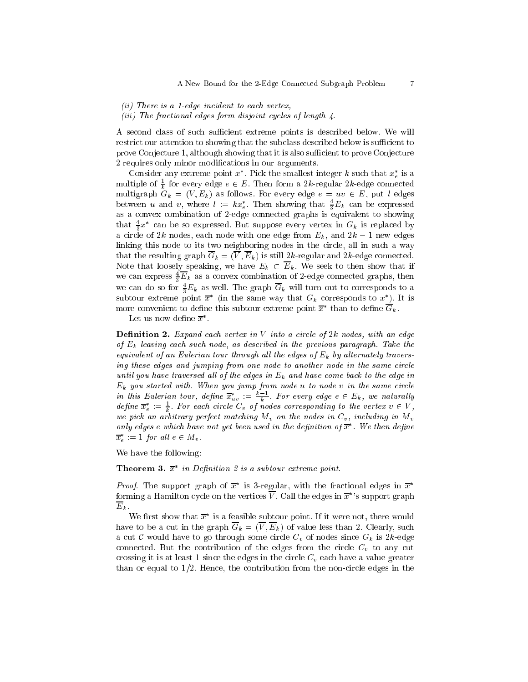- (ii) There is a 1-edge incident to each vertex,
- (iii) The fractional edges form disjoint cycles of length 4.

A second class of such sufficient extreme points is described below. We will restrict our attention to showing that the subclass described below is sufficient to prove Conjecture 1, although showing that it is also sufficient to prove Conjecture 2 requires only minor modications in our arguments.

Consider any extreme point  $x^*$ . Pick the smallest integer k such that  $x_e^*$  is a multiple of  $\frac{1}{k}$  for every edge  $e \in E$ . Then form a 2k-regular 2k-edge connected multigraph  $G_k = (V, E_k)$  as follows. For every edge  $e = uv \in E$ , put l edges between u and v, where  $l := kx_e^*$ . Then showing that  $\frac{4}{3}E_k$  can be expressed as a convex combination of 2-edge connected graphs is equivalent to showing that  $\frac{4}{3}x^*$  can be so expressed. But suppose every vertex in  $G_k$  is replaced by a circle of 2k nodes, each node with one edge from  $E_k$ , and  $2k-1$  new edges linking this node to its two neighboring nodes in the circle, all in such a way that the resulting graph  $\overline{G}_k = (\overline{V}, \overline{E}_k)$  is still 2k-regular and 2k-edge connected. Note that loosely speaking, we have  $E_k \subset \overline{E}_k$ . We seek to then show that if we can express  $\frac{4}{3}E_k$  as a convex combination of 2-edge connected graphs, then we can do so for  $\frac{4}{3}E_k$  as well. The graph  $G_k$  will turn out to corresponds to a subtour extreme point  $\bar{x}^*$  (in the same way that  $G_k$  corresponds to  $x^*$ ). It is more convenient to define this subtour extreme point  $\overline{x}^*$  than to define  $G_k$ .

Let us now denne  $x$  .

**Definition 2.** Expand each vertex in  $V$  into a circle of  $2k$  nodes, with an edge of  $E_k$  leaving each such node, as described in the previous paragraph. Take the equivalent of an Eulerian tour through all the edges of  $E_k$  by alternately traversing these edges and jumping from one node to another node in the same circle until you have traversed all of the edges in  $E_k$  and have come back to the edge in  $E_k$  you started with. When you jump from node u to node v in the same circle in this Eulerian tour, define  $\overline{x}_{uv}^* := \frac{k-1}{k}$ . For every edge  $e \in E_k$ , we naturally define  $\overline{x}_e^* := \frac{1}{k}$ . For each circle  $C_v$  of nodes corresponding to the vertex  $v \in V$ , we pick an arbitrary perfect matching  $M_v$  on the nodes in  $C_v$ , including in  $M_v$ only edges  $e$  which have not yet been used in the definition of  $x$  . We then define  $\overline{x}_{e}^{*} := 1$  for all  $e \in M_{v}$ .

We have the following:

**Theorem 3.** x in Definition 2 is a subtour extreme point.

*Proof.* The support graph of x is 3-regular, with the fractional edges in x forming a Hamilton cycle on the vertices V. Call the edges in  $\overline{x}^*$ 's support graph  $\overline{E}_k$  .

We first show that x is a feasible subtour point. If it were not, there would have to be a cut in the graph  $\overline{G}_k = (\overline{V}, \overline{E}_k)$  of value less than 2. Clearly, such a cut  $\mathcal C$  would have to go through some circle  $C_v$  of nodes since  $G_k$  is 2k-edge connected. But the contribution of the edges from the circle  $C_v$  to any cut crossing it is at least 1 since the edges in the circle  $C_v$  each have a value greater than or equal to 1/2. Hence, the contribution from the non-circle edges in the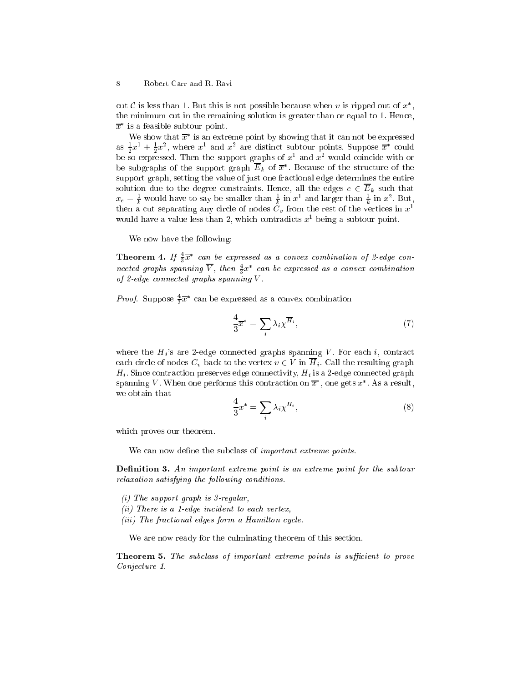cut  $C$  is less than 1. But this is not possible because when  $v$  is ripped out of  $x^-,$ the minimum cut in the remaining solution is greater than or equal to 1. Hence,  $x$  is a feasible subtour point.

We show that x is an extreme point by showing that it can not be expressed as  $\frac{1}{2}x^2 + \frac{1}{2}x^2$ , where x<sup>2</sup> and x<sup>2</sup> are distinct subtour points. Suppose x could<br>be so expressed. Then the support graphs of  $x^1$  and  $x^2$  would coincide with or be subgraphs of the support graph  $E_k$  of  $\bar{x}^*$ . Because of the structure of the support graph, setting the value of just one fractional edge determines the entire solution due to the degree constraints. Hence, all the edges  $e \in \overline{E}_k$  such that  $x_e = \frac{1}{k}$  would have to say be smaller than  $\frac{1}{k}$  in  $x^2$  and larger than  $\frac{1}{k}$  in  $x^2$ . But, then a cut separating any circle of nodes  $C_v$  from the rest of the vertices in  $x^1$ would have a value less than 2, which contradicts  $x^{\mu}$  being a subtour point.

We now have the following:

**Theorem 4.** If  $\frac{1}{3}x$  can be expressed as a convex combination of 2-edge connected graphs spanning V, then  $\frac{4}{3}x^*$  can be expressed as a convex combination of 2-edge connected graphs spanning V .

*Proof.* Suppose  $\frac{1}{3}x$  can be expressed as a convex combination

$$
\frac{4}{3}\overline{x}^* = \sum_i \lambda_i \chi^{\overline{H}_i},\tag{7}
$$

where the  $\overline{H}_i$ 's are 2-edge connected graphs spanning  $\overline{V}$ . For each *i*, contract each circle of nodes  $C_v$  back to the vertex  $v \in V$  in  $\overline{H}_i$ . Call the resulting graph  $H_i$ . Since contraction preserves edge connectivity,  $H_i$  is a 2-edge connected graph spanning V. When one performs this contraction on  $\overline{x}^*$ , one gets  $x^*$ . As a result, we obtain that

$$
\frac{4}{3}x^* = \sum_i \lambda_i \chi^{H_i},\tag{8}
$$

which proves our theorem.

We can now define the subclass of *important extreme points*.

**Definition 3.** An important extreme point is an extreme point for the subtour relaxation satisfying the following conditions.

- (i) The support graph is 3-regular,
- (ii) There is a 1-edge incident to each vertex,
- (iii) The fractional edges form a Hamilton cycle.

We are now ready for the culminating theorem of this section.

**Theorem 5.** The subclass of important extreme points is sufficient to prove Conjecture 1.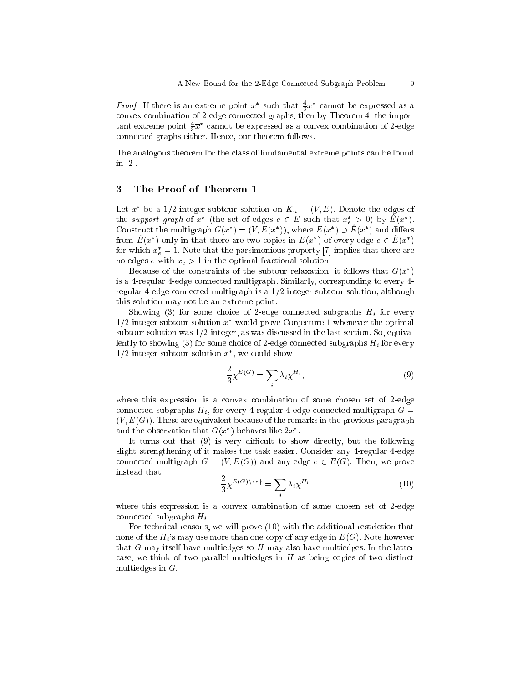*Proof.* If there is an extreme point x such that  $\frac{1}{3}x$  cannot be expressed as a convex combination of 2-edge connected graphs, then by Theorem 4, the important extreme point  $\frac{1}{3}x$  cannot be expressed as a convex combination of 2-edge connected graphs either. Hence, our theorem follows.

The analogous theorem for the class of fundamental extreme points can be found in [2].

#### 3The Proof of Theorem <sup>1</sup>

Let  $x^*$  be a 1/2-integer subtour solution on  $K_n = (V, E)$ . Denote the edges of the support graph of  $x^*$  (the set of edges  $e \in E$  such that  $x_e^* > 0$ ) by  $E(x^*)$ . Construct the multigraph  $G(x^*) = (V, E(x^*))$ , where  $E(x^*) \supset E(x^*)$  and differs from  $E(x^*)$  only in that there are two copies in  $E(x^*)$  of every edge  $e \in E(x^*)$ for which  $x_e =$  1. Note that the parsimonious property  $[\ell]$  implies that there are no edges e with  $x_e > 1$  in the optimal fractional solution.

Because of the constraints of the subtour relaxation, it follows that  $G(x^*)$ is a 4-regular 4-edge connected multigraph. Similarly, corresponding to every 4 regular 4-edge connected multigraph is a 1/2-integer subtour solution, although this solution may not be an extreme point.

Showing (3) for some choice of 2-edge connected subgraphs  $H_i$  for every  $1/2$ -integer subtour solution  $x^{\dagger}$  would prove Conjecture 1 whenever the optimal subtour solution was 1/2-integer, as was discussed in the last section. So, equivalently to showing (3) for some choice of 2-edge connected subgraphs  $H_i$  for every  $1/2$ -integer subtour solution  $x$  , we could show

$$
\frac{2}{3}\chi^{E(G)} = \sum_{i} \lambda_i \chi^{H_i},\tag{9}
$$

where this expression is a convex combination of some chosen set of 2-edge connected subgraphs  $H_i$ , for every 4-regular 4-edge connected multigraph  $G =$  $(V, E(G))$ . These are equivalent because of the remarks in the previous paragraph and the observation that  $G(x^*)$  behaves like  $2x^*$ .

It turns out that  $(9)$  is very difficult to show directly, but the following slight strengthening of it makes the task easier. Consider any 4-regular 4-edge connected multigraph  $G = (V, E(G))$  and any edge  $e \in E(G)$ . Then, we prove instead that

$$
\frac{2}{3}\chi^{E(G)\setminus\{e\}} = \sum_{i} \lambda_i \chi^{H_i} \tag{10}
$$

where this expression is a convex combination of some chosen set of 2-edge connected subgraphs  $H_i$ .

For technical reasons, we will prove (10) with the additional restriction that none of the  $H_i$ 's may use more than one copy of any edge in  $E(G)$ . Note however that G may itself have multiedges so  $H$  may also have multiedges. In the latter case, we think of two parallel multiedges in  $H$  as being copies of two distinct multiedges in G.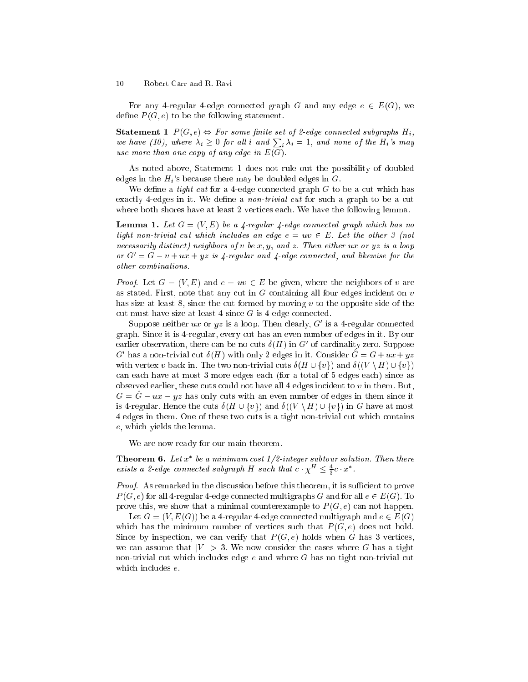$10$ 10 Robert Carr and R. Ravi

For any 4-regular 4-edge connected graph G and any edge  $e \in E(G)$ , we define  $P(G, e)$  to be the following statement.

**Statement 1**  $P(G, e) \Leftrightarrow$  For some finite set of 2-edge connected subgraphs  $H_i$ , we have (10), where  $\lambda_i \geq 0$  for all i and  $\sum_i \lambda_i = 1$ , and none of the  $H_i$ 's may use more than one copy of any edge in  $E(G)$ .

As noted above, Statement 1 does not rule out the possibility of doubled edges in the  $H_i$ 's because there may be doubled edges in  $G$ .

We define a *tight cut* for a 4-edge connected graph  $G$  to be a cut which has exactly 4-edges in it. We define a *non-trivial cut* for such a graph to be a cut where both shores have at least 2 vertices each. We have the following lemma.

**Lemma 1.** Let  $G = (V, E)$  be a 4-regular 4-edge connected graph which has no tight non-trivial cut which includes an edge  $e = uv \in E$ . Let the other 3 (not necessarily distinct) neighbors of v be x, y, and z. Then either ux or yz is a loop or  $G' = G - v + ux + yz$  is 4-regular and 4-edge connected, and likewise for the other combinations.

*Proof.* Let  $G = (V, E)$  and  $e = uv \in E$  be given, where the neighbors of v are as stated. First, note that any cut in  $G$  containing all four edges incident on  $\nu$ has size at least 8, since the cut formed by moving  $v$  to the opposite side of the cut must have size at least 4 since  $G$  is 4-edge connected.

Suppose neither  $ux$  or  $yz$  is a loop. Then clearly,  $G'$  is a 4-regular connected graph. Since it is 4-regular, every cut has an even number of edges in it. By our earlier observation, there can be no cuts  $\delta(H)$  in G' of cardinality zero. Suppose G' has a non-trivial cut  $\delta(H)$  with only 2 edges in it. Consider  $G = G + ux + yz$ with vertex v back in. The two non-trivial cuts  $\delta(H \cup \{v\})$  and  $\delta((V \setminus H) \cup \{v\})$ can each have at most 3 more edges each (for a total of 5 edges each) since as observed earlier, these cuts could not have all  $4$  edges incident to  $v$  in them. But,  $G = G - ux - yz$  has only cuts with an even number of edges in them since it is 4-regular. Hence the cuts  $\delta(H \cup \{v\})$  and  $\delta((V \setminus H) \cup \{v\})$  in G have at most 4 edges in them. One of these two cuts is a tight non-trivial cut which contains e, which yields the lemma.

We are now ready for our main theorem.

**Theorem 6.** Let x of a minimum cost  $1/2$ -integer subtour solution. Then there exists a 2-edge connected subgraph H such that  $c \cdot \chi^H \leq \frac{4}{3}c \cdot x^*$ .

*Proof.* As remarked in the discussion before this theorem, it is sufficient to prove  $P(G, e)$  for all 4-regular 4-edge connected multigraphs G and for all  $e \in E(G)$ . To prove this, we show that a minimal counterexample to  $P(G, e)$  can not happen.

Let  $G = (V, E(G))$  be a 4-regular 4-edge connected multigraph and  $e \in E(G)$ which has the minimum number of vertices such that  $P(G, e)$  does not hold. Since by inspection, we can verify that  $P(G, e)$  holds when G has 3 vertices, we can assume that  $|V| > 3$ . We now consider the cases where G has a tight non-trivial cut which includes edge  $e$  and where  $G$  has no tight non-trivial cut which includes e.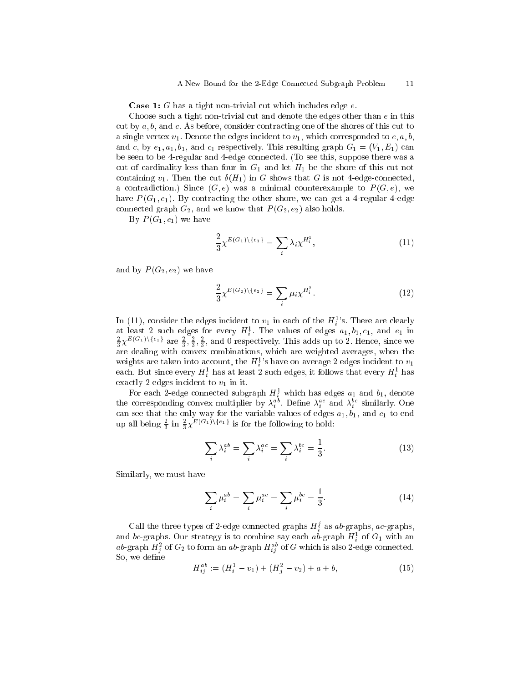**Case 1:** G has a tight non-trivial cut which includes edge  $e$ .

Choose such a tight non-trivial cut and denote the edges other than  $e$  in this cut by  $a, b$ , and  $c$ . As before, consider contracting one of the shores of this cut to a single vertex  $v_1$ . Denote the edges incident to  $v_1$ , which corresponded to  $e, a, b$ , and c, by  $e_1, a_1, b_1$ , and  $c_1$  respectively. This resulting graph  $G_1 = (V_1, E_1)$  can be seen to be 4-regular and 4-edge connected. (To see this, suppose there was a cut of cardinality less than four in  $G_1$  and let  $H_1$  be the shore of this cut not containing  $v_1$ . Then the cut  $\delta(H_1)$  in G shows that G is not 4-edge-connected, a contradiction.) Since  $(G, e)$  was a minimal counterexample to  $P(G, e)$ , we have  $P(G_1, e_1)$ . By contracting the other shore, we can get a 4-regular 4-edge connected graph  $G_2$ , and we know that  $P(G_2, e_2)$  also holds.

By  $P(G_1, e_1)$  we have

$$
\frac{2}{3}\chi^{E(G_1)\setminus\{e_1\}} = \sum_i \lambda_i \chi^{H_i^1},\tag{11}
$$

and by  $P(G_2, e_2)$  we have

$$
\frac{2}{3}\chi^{E(G_2)\setminus\{e_2\}} = \sum_{i} \mu_i \chi^{H_i^2}.
$$
 (12)

In (11), consider the edges incident to  $v_1$  in each of the  $H_i^{\perp}$ 's. There are clearly at least 2 such edges for every  $H_i^1$ . The values of edges  $a_1,b_1,c_1,$  and  $e_1$  in  $\frac{2}{3}\chi^{E(G_1)\setminus\{e_1\}}$  are  $\frac{2}{3},\frac{2}{3},\frac{2}{3}$ , and 0 respectively. This adds up to 2. Hence, since we are dealing with convex combinations, which are weighted averages, when the weights are taken into account, the  $H_i^{\scriptscriptstyle 1}$ 's have on average 2 edges incident to  $v_1$ each. But since every  $H_i^1$  has at least 2 such edges, it follows that every  $H_i^1$  has exactly 2 edges incident to  $v_1$  in it.

For each 2-edge connected subgraph  $H_i^1$  which has edges  $a_1$  and  $b_1,$  denote the corresponding convex multiplier by  $\lambda_i^{ab}$ . Define  $\lambda_i^{ac}$  and  $\lambda_i^{bc}$  similarly. One can see that the only way for the variable values of edges  $a_1, b_1$ , and  $c_1$  to end up all being  $\frac{2}{3}$  in  $\frac{2}{3}\chi^{E(G_1)\setminus\{e_1\}}$  is for the following to hold:

$$
\sum_{i} \lambda_i^{ab} = \sum_{i} \lambda_i^{ac} = \sum_{i} \lambda_i^{bc} = \frac{1}{3}.
$$
 (13)

Similarly, we must have

$$
\sum_{i} \mu_i^{ab} = \sum_{i} \mu_i^{ac} = \sum_{i} \mu_i^{bc} = \frac{1}{3}.
$$
 (14)

Call the three types of 2-edge connected graphs  $H_i^j$  as ab-graphs, ac-graphs, and  $bc$ -graphs. Our strategy is to combine say each  $ab$ -graph  $H_i^1$  of  $G_1$  with an  $ab\text{-graph } H_j^2$  of  $G_2$  to form an  $ab\text{-graph } H_{ij}^{ab}$  of  $G$  which is also 2-edge connected. So, we define

$$
H_{ij}^{ab} := (H_i^1 - v_1) + (H_j^2 - v_2) + a + b,\tag{15}
$$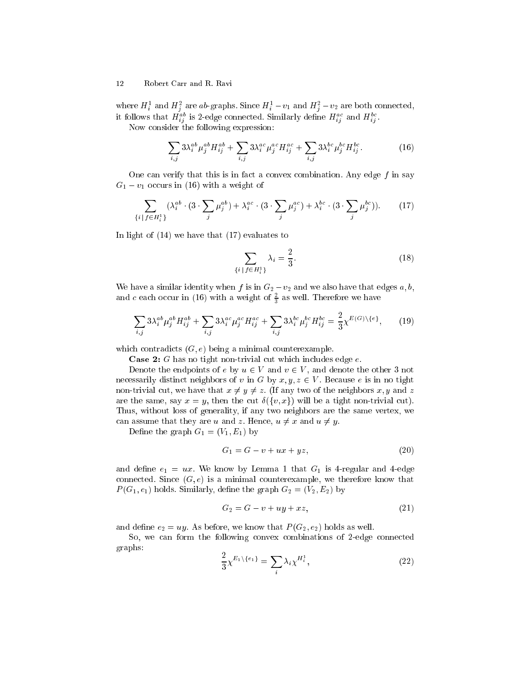#### 12 12 Robert Carr and R. Ravi

where  $H_i^1$  and  $H_j^2$  are  $ab$ -graphs. Since  $H_i^1 - v_1$  and  $H_j^2 - v_2$  are both connected, it follows that  $H_{ij}^{ab}$  is 2-edge connected. Similarly define  $H_{ij}^{ac}$  and  $H_{ij}^{bc}$ .

Now consider the following expression:

$$
\sum_{i,j} 3\lambda_i^{ab} \mu_j^{ab} H_{ij}^{ab} + \sum_{i,j} 3\lambda_i^{ac} \mu_j^{ac} H_{ij}^{ac} + \sum_{i,j} 3\lambda_i^{bc} \mu_j^{bc} H_{ij}^{bc}.
$$
 (16)

One can verify that this is in fact a convex combination. Any edge  $f$  in say  $G_1 - v_1$  occurs in (16) with a weight of

$$
\sum_{\{i \,|\, f \in H_i^1\}} (\lambda_i^{ab} \cdot (3 \cdot \sum_j \mu_j^{ab}) + \lambda_i^{ac} \cdot (3 \cdot \sum_j \mu_j^{ac}) + \lambda_i^{bc} \cdot (3 \cdot \sum_j \mu_j^{bc})). \tag{17}
$$

In light of (14) we have that (17) evaluates to

$$
\sum_{\{i \mid f \in H_i^1\}} \lambda_i = \frac{2}{3}.\tag{18}
$$

We have a similar identity when f is in  $G_2 - v_2$  and we also have that edges a, b, and  $c$  each occur in (16) with a weight of  $\frac{1}{3}$  as well. Therefore we have

$$
\sum_{i,j} 3\lambda_i^{ab} \mu_j^{ab} H_{ij}^{ab} + \sum_{i,j} 3\lambda_i^{ac} \mu_j^{ac} H_{ij}^{ac} + \sum_{i,j} 3\lambda_i^{bc} \mu_j^{bc} H_{ij}^{bc} = \frac{2}{3} \chi^{E(G)\setminus\{e\}},\tag{19}
$$

which contradicts  $(G, e)$  being a minimal counterexample.

**Case 2:**  $G$  has no tight non-trivial cut which includes edge  $e$ .

Denote the endpoints of e by  $u \in V$  and  $v \in V$ , and denote the other 3 not necessarily distinct neighbors of v in G by  $x, y, z \in V$ . Because e is in no tight non-trivial cut, we have that  $x \neq y \neq z$ . (If any two of the neighbors x, y and z are the same, say  $x = y$ , then the cut  $\delta({v, x})$  will be a tight non-trivial cut). Thus, without loss of generality, if any two neighbors are the same vertex, we can assume that they are u and z. Hence,  $u \neq x$  and  $u \neq y$ .

Define the graph  $G_1 = (V_1, E_1)$  by

$$
G_1 = G - v + ux + yz,\tag{20}
$$

and define  $e_1 = ux$ . We know by Lemma 1 that  $G_1$  is 4-regular and 4-edge connected. Since  $(G, e)$  is a minimal counterexample, we therefore know that  $P(G_1, e_1)$  holds. Similarly, define the graph  $G_2 = (V_2, E_2)$  by

$$
G_2 = G - v + uy + xz,\tag{21}
$$

and define  $e_2 = uy$ . As before, we know that  $P(G_2, e_2)$  holds as well.

So, we can form the following convex combinations of 2-edge connected graphs:

$$
\frac{2}{3}\chi^{E_1\setminus\{e_1\}} = \sum_i \lambda_i \chi^{H_i^1},\tag{22}
$$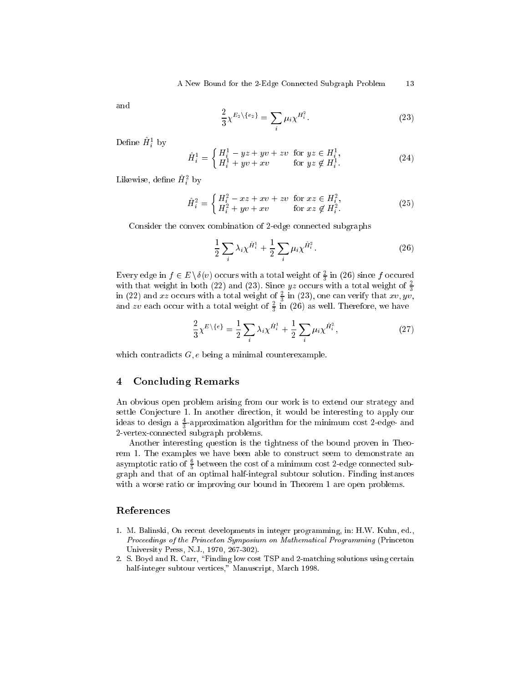and

$$
\frac{2}{3}\chi^{E_2\setminus\{e_2\}} = \sum_i \mu_i \chi^{H_i^2}.
$$
 (23)

Define  $H_i^1$  by

$$
\hat{H}_i^1 = \begin{cases} H_i^1 - yz + yv + zv & \text{for } yz \in H_i^1, \\ H_i^1 + yv + xv & \text{for } yz \notin H_i^1. \end{cases}
$$
\n(24)

Likewise, define  $H_i^2$  by

$$
\hat{H}_i^2 = \begin{cases} H_i^2 - xz + xv + zv & \text{for } xz \in H_i^2, \\ H_i^2 + yv + xv & \text{for } xz \notin H_i^2. \end{cases}
$$
 (25)

Consider the convex combination of 2-edge connected subgraphs

$$
\frac{1}{2} \sum_{i} \lambda_i \chi^{\hat{H}_i^1} + \frac{1}{2} \sum_{i} \mu_i \chi^{\hat{H}_i^2}.
$$
 (26)

Every edge in  $f \in E \setminus \delta(v)$  occurs with a total weight of  $\frac{2}{3}$  in (26) since f occured with that weight in both (22) and (23). Since  $yz$  occurs with a total weight of  $\frac{2}{3}$  in (22) and  $xz$  occurs with a total weight of  $\frac{2}{3}$  in (23), one can verify that  $xv, yv$ , and  $z\bar{v}$  each occur with a total weight of  $\frac{2}{3}$  in (26) as well. Therefore, we have

$$
\frac{2}{3}\chi^{E\setminus\{e\}} = \frac{1}{2}\sum_{i}\lambda_{i}\chi^{\hat{H}_{i}^{1}} + \frac{1}{2}\sum_{i}\mu_{i}\chi^{\hat{H}_{i}^{2}},
$$
\n(27)

which contradicts  $G, e$  being a minimal counterexample.

#### 4Concluding Remarks

An obvious open problem arising from our work is to extend our strategy and settle Conjecture 1. In another direction, it would be interesting to apply our ideas to design a  $\frac{1}{2}$ -approximation algorithm for the minimum cost z-edge- and 2-vertex-connected subgraph problems.

Another interesting question is the tightness of the bound proven in Theorem 1. The examples we have been able to construct seem to demonstrate an asymptotic ratio of  $\frac{1}{5}$  between the cost of a minimum cost 2-edge connected subgraph and that of an optimal half-integral subtour solution. Finding instances with a worse ratio or improving our bound in Theorem 1 are open problems.

# References

- 1. M. Balinski, On recent developments in integer programming, in: H.W. Kuhn, ed., Proceedings of the Princeton Symposium on Mathematical Programming (Princeton University Press, N.J., 1970, 267-302).
- 2. S. Boyd and R. Carr, "Finding low cost TSP and 2-matching solutions using certain half-integer subtour vertices," Manuscript, March 1998.